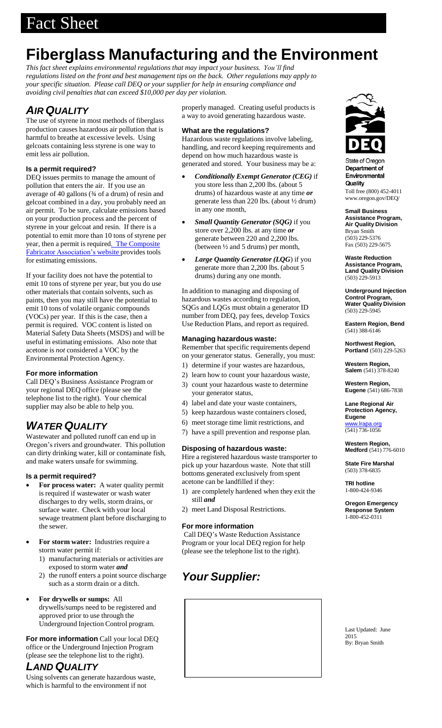# **Fiberglass Manufacturing and the Environment**

*This fact sheet explains environmental regulations that may impact your business. You'll find regulations listed on the front and best management tips on the back. Other regulations may apply to your specific situation. Please call DEQ or your supplier for help in ensuring compliance and avoiding civil penalties that can exceed \$10,000 per day per violation.*

# *AIR QUALITY*

The use of styrene in most methods of fiberglass production causes hazardous air pollution that is harmful to breathe at excessive levels. Using gelcoats containing less styrene is one way to emit less air pollution.

## **Is a permit required?**

DEQ issues permits to manage the amount of pollution that enters the air. If you use an average of 40 gallons (¾ of a drum) of resin and gelcoat combined in a day, you probably need an air permit. To be sure, calculate emissions based on your production process and the percent of styrene in your gelcoat and resin. If there is a potential to emit more than 10 tons of styrene per year, then a permit is required. The [Composite](http://www.acmanet.org/index.cfm) Fabricator [Association's](http://www.acmanet.org/index.cfm) website provides tools for estimating emissions.

If your facility does not have the potential to emit 10 tons of styrene per year, but you do use other materials that contain solvents, such as paints, then you may still have the potential to emit 10 tons of volatile organic compounds (VOCs) per year. If this is the case, then a permit is required. VOC content is listed on Material Safety Data Sheets (MSDS) and will be useful in estimating emissions. Also note that acetone is *not* considered a VOC by the Environmental Protection Agency.

### **For more information**

Call DEQ's Business Assistance Program or your regional DEQ office (please see the telephone list to the right). Your chemical supplier may also be able to help you.

## *WATER QUALITY*

Wastewater and polluted runoff can end up in Oregon's rivers and groundwater. This pollution can dirty drinking water, kill or contaminate fish, and make waters unsafe for swimming.

### **Is a permit required?**

- **For process water:** A water quality permit is required if wastewater or wash water discharges to dry wells, storm drains, or surface water. Check with your local sewage treatment plant before discharging to the sewer.
- **For storm water:** Industries require a storm water permit if:
	- 1) manufacturing materials or activities are exposed to storm water *and*
	- 2) the runoff enters a point source discharge such as a storm drain or a ditch.
- **For drywells or sumps:** All drywells/sumps need to be registered and approved prior to use through the Underground Injection Control program.

**For more information** Call your local DEQ office or the Underground Injection Program (please see the telephone list to the right).

## *LAND QUALITY*

Using solvents can generate hazardous waste, which is harmful to the environment if not

properly managed. Creating useful products is a way to avoid generating hazardous waste.

## **What are the regulations?**

Hazardous waste regulations involve labeling, handling, and record keeping requirements and depend on how much hazardous waste is generated and stored. Your business may be a:

- *Conditionally Exempt Generator(CEG)* if you store less than 2,200 lbs. (about 5 drums) of hazardous waste at any time *or* generate less than 220 lbs. (about ½ drum) in any one month,
- *Small Quantity Generator (SQG)* if you store over 2,200 lbs. at any time *or* generate between 220 and 2,200 lbs. (between ½ and 5 drums) per month,
- *Large Quantity Generator (LQG*) if you generate more than 2,200 lbs. (about 5 drums) during any one month.

In addition to managing and disposing of hazardous wastes according to regulation, SQGs and LQGs must obtain a generator ID number from DEQ, pay fees, develop Toxics Use Reduction Plans, and report as required.

## **Managing hazardous waste:**

Remember that specific requirements depend on your generator status. Generally, you must:

- 1) determine if your wastes are hazardous,
- 2) learn how to count your hazardous waste,
- 3) count your hazardous waste to determine your generator status,
- 4) label and date your waste containers,
- 5) keep hazardous waste containers closed,
- 6) meet storage time limit restrictions, and
- 7) have a spill prevention and response plan.

### **Disposing of hazardous waste:**

Hire a registered hazardous waste transporter to pick up your hazardous waste. Note that still bottoms generated exclusively from spent acetone can be landfilled if they:

- 1) are completely hardened when they exit the still *and*
- 2) meet Land Disposal Restrictions.

### **For more information**

Call DEQ's Waste Reduction Assistance Program or your local DEQ region for help (please see the telephone list to the right).

# *Your Supplier:*





State of Oregon Department of Environmental Quality

Toll free (800) 452-401[1](http://www.oregon.gov/DEQ/) [www.oregon.gov/DEQ/](http://www.oregon.gov/DEQ/)

**Small Business Assistance Program, Air Quality Division** Bryan Smith (503) 229-5376 Fax (503) 229-5675

**Waste Reduction Assistance Program, Land Quality Division** (503) 229-5913

**Underground Injection Control Program, Water Quality Division** (503) 229-5945

**Eastern Region, Bend** (541) 388-6146

**Northwest Region, Portland** (503) 229-5263

**Western Region, Salem** (541) 378-8240

**Western Region, Eugene** (541) 686-7838

**Lane Regional Air Protection Agency, Eugene** [www.lrapa.org](http://www.lrapa.org/) (541) 736-1056

**Western Region, Medford** (541) 776-6010

**State Fire Marshal** (503) 378-6835

**TRI hotline** 1-800-424-9346

**Oregon Emergency Response System** 1-800-452-0311

Last Updated: June 2015 By: Bryan Smith